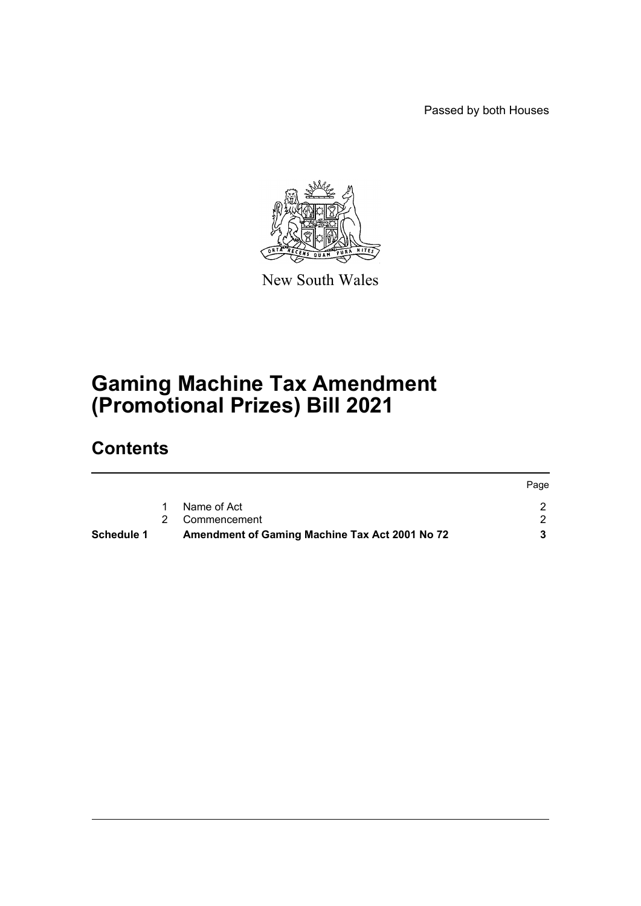Passed by both Houses



New South Wales

# **Gaming Machine Tax Amendment (Promotional Prizes) Bill 2021**

## **Contents**

| Schedule 1 | Amendment of Gaming Machine Tax Act 2001 No 72 |      |
|------------|------------------------------------------------|------|
|            | 2 Commencement                                 |      |
|            | Name of Act                                    |      |
|            |                                                | Page |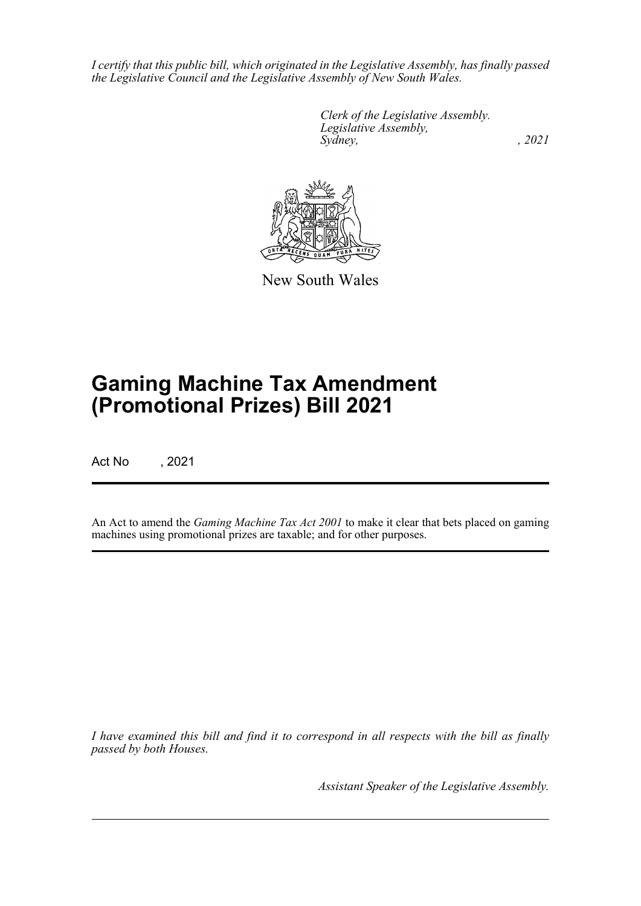*I certify that this public bill, which originated in the Legislative Assembly, has finally passed the Legislative Council and the Legislative Assembly of New South Wales.*

> *Clerk of the Legislative Assembly. Legislative Assembly, Sydney, , 2021*



New South Wales

# **Gaming Machine Tax Amendment (Promotional Prizes) Bill 2021**

Act No , 2021

An Act to amend the *Gaming Machine Tax Act 2001* to make it clear that bets placed on gaming machines using promotional prizes are taxable; and for other purposes.

*I have examined this bill and find it to correspond in all respects with the bill as finally passed by both Houses.*

*Assistant Speaker of the Legislative Assembly.*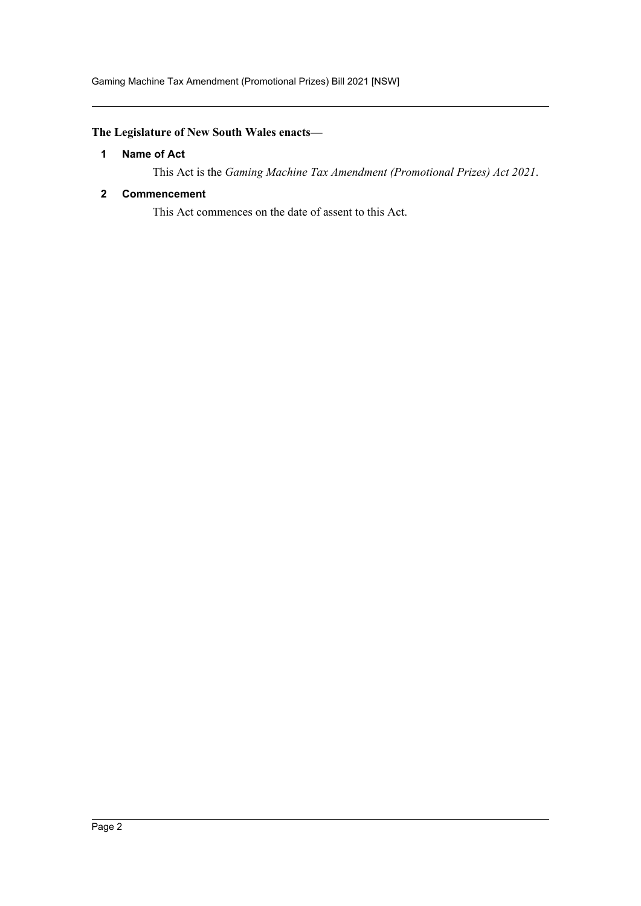## <span id="page-2-0"></span>**The Legislature of New South Wales enacts—**

#### **1 Name of Act**

This Act is the *Gaming Machine Tax Amendment (Promotional Prizes) Act 2021*.

### <span id="page-2-1"></span>**2 Commencement**

This Act commences on the date of assent to this Act.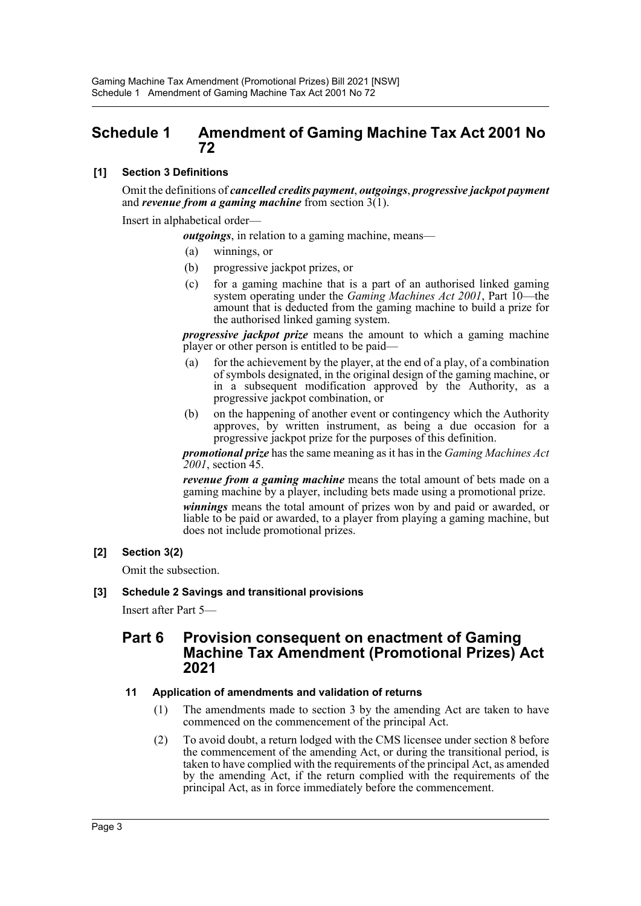## <span id="page-3-0"></span>**Schedule 1 Amendment of Gaming Machine Tax Act 2001 No 72**

## **[1] Section 3 Definitions**

Omit the definitions of *cancelled credits payment*, *outgoings*, *progressive jackpot payment* and *revenue from a gaming machine* from section 3(1).

Insert in alphabetical order—

*outgoings*, in relation to a gaming machine, means—

- (a) winnings, or
- (b) progressive jackpot prizes, or
- (c) for a gaming machine that is a part of an authorised linked gaming system operating under the *Gaming Machines Act 2001*, Part 10—the amount that is deducted from the gaming machine to build a prize for the authorised linked gaming system.

*progressive jackpot prize* means the amount to which a gaming machine player or other person is entitled to be paid—

- (a) for the achievement by the player, at the end of a play, of a combination of symbols designated, in the original design of the gaming machine, or in a subsequent modification approved by the Authority, as a progressive jackpot combination, or
- (b) on the happening of another event or contingency which the Authority approves, by written instrument, as being a due occasion for a progressive jackpot prize for the purposes of this definition.

*promotional prize* has the same meaning as it has in the *Gaming Machines Act 2001*, section 45.

*revenue from a gaming machine* means the total amount of bets made on a gaming machine by a player, including bets made using a promotional prize.

*winnings* means the total amount of prizes won by and paid or awarded, or liable to be paid or awarded, to a player from playing a gaming machine, but does not include promotional prizes.

### **[2] Section 3(2)**

Omit the subsection.

#### **[3] Schedule 2 Savings and transitional provisions**

Insert after Part 5—

## **Part 6 Provision consequent on enactment of Gaming Machine Tax Amendment (Promotional Prizes) Act 2021**

#### **11 Application of amendments and validation of returns**

- (1) The amendments made to section 3 by the amending Act are taken to have commenced on the commencement of the principal Act.
- (2) To avoid doubt, a return lodged with the CMS licensee under section 8 before the commencement of the amending Act, or during the transitional period, is taken to have complied with the requirements of the principal Act, as amended by the amending Act, if the return complied with the requirements of the principal Act, as in force immediately before the commencement.